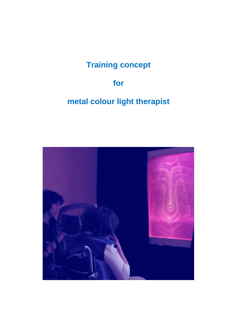# **Training concept**

## **for**

# **metal colour light therapist**

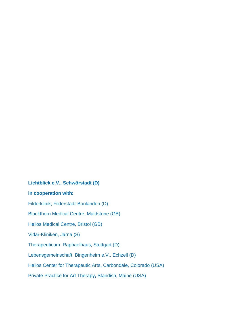# **Lichtblick e.V., Schwörstadt (D) in cooperation with:**  Filderklinik, Filderstadt-Bonlanden (D) Blackthorn Medical Centre, Maidstone (GB) Helios Medical Centre, Bristol (GB) Vidar-Kliniken, Järna (S) Therapeuticum Raphaelhaus, Stuttgart (D) Lebensgemeinschaft Bingenheim e.V., Echzell (D) Helios Center for Therapeutic Arts**,** Carbondale, Colorado (USA) Private Practice for Art Therapy**,** Standish, Maine (USA)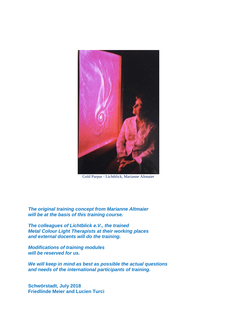

Gold Purpur - Lichtblick, Marianne Altmaier

*The original training concept from Marianne Altmaier will be at the basis of this training course.* 

*The colleagues of Lichtblick e.V., the trained Metal Colour Light Therapists at their working places and external docents will do the training.*

*Modifications of training modules will be reserved for us.*

*We will keep in mind as best as possible the actual questions and needs of the international participants of training.*

**Schwörstadt, July 2018 Friedlinde Meier and Lucien Turci**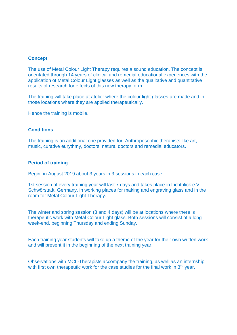#### **Concept**

The use of Metal Colour Light Therapy requires a sound education. The concept is orientated through 14 years of clinical and remedial educational experiences with the application of Metal Colour Light glasses as well as the qualitative and quantitative results of research for effects of this new therapy form.

The training will take place at atelier where the colour light glasses are made and in those locations where they are applied therapeutically.

Hence the training is mobile.

#### **Conditions**

The training is an additional one provided for: Anthroposophic therapists like art, music, curative eurythmy, doctors, natural doctors and remedial educators.

#### **Period of training**

Begin: in August 2019 about 3 years in 3 sessions in each case.

1st session of every training year will last 7 days and takes place in Lichtblick e.V. Schwörstadt, Germany, in working places for making and engraving glass and in the room for Metal Colour Light Therapy.

The winter and spring session (3 and 4 days) will be at locations where there is therapeutic work with Metal Colour Light glass. Both sessions will consist of a long week-end, beginning Thursday and ending Sunday.

Each training year students will take up a theme of the year for their own written work and will present it in the beginning of the next training year.

Observations with MCL-Therapists accompany the training, as well as an internship with first own therapeutic work for the case studies for the final work in  $3<sup>rd</sup>$  vear.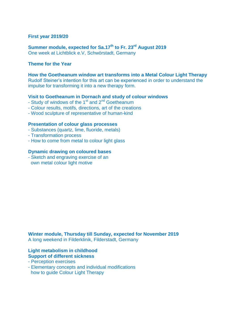#### **First year 2019/20**

**Summer module, expected for Sa.17th to Fr. 23 rd August 2019** One week at Lichtblick e.V, Schwörstadt, Germany

#### **Theme for the Year**

**How the Goetheanum window art transforms into a Metal Colour Light Therapy** Rudolf Steiner's intention for this art can be experienced in order to understand the impulse for transforming it into a new therapy form.

#### **Visit to Goetheanum in Dornach and study of colour windows**

- Study of windows of the 1<sup>st</sup> and 2<sup>nd</sup> Goetheanum
- Colour results, motifs, directions, art of the creations
- Wood sculpture of representative of human-kind

#### **Presentation of colour glass processes**

- Substances (quartz, lime, fluoride, metals)
- Transformation process
- How to come from metal to colour light glass

#### **Dynamic drawing on coloured bases**

- Sketch and engraving exercise of an own metal colour light motive

**Winter module, Thursday till Sunday, expected for November 2019** A long weekend in Filderklinik, Filderstadt, Germany

#### **Light metabolism in childhood Support of different sickness**

- Perception exercises
- Elementary concepts and individual modifications how to guide Colour Light Therapy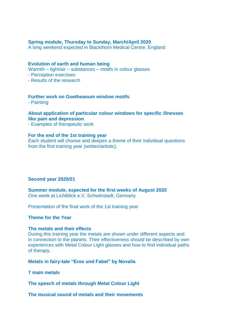#### **Spring module, Thursday to Sunday, March/April 2020**

A long weekend expected in Blackthorn Medical Centre, England

#### **Evolution of earth and human being**

Warmth – light/air – substances – motifs in colour glasses

- Perception exercises

- Results of the research

#### **Further work on Goetheanum window motifs**

- Painting

### **About application of particular colour windows for specific illnesses like pain and depression**

- Examples of therapeutic work

#### **For the end of the 1st training year**

Each student will choose and deepen a theme of their individual questions from the first training year (written/artistic).

#### **Second year 2020/21**

**Summer module, expected for the first weeks of August 2020** One week at Lichtblick e.V. Schwörstadt, Germany

Presentation of the final work of the 1st training year

#### **Theme for the Year**

#### **The metals and their effects**

During this training year the metals are shown under different aspects and in connection to the planets. Their effectiveness should be described by own experiences with Metal Colour Light glasses and how to find individual paths of therapy.

#### **Metals in fairy-tale "Eros und Fabel" by Novalis**

**7 main metals**

**The speech of metals through Metal Colour Light** 

**The musical sound of metals and their movements**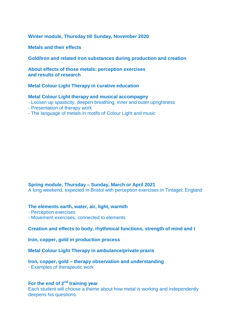**Winter module, Thursday till Sunday, November 2020**

**Metals and their effects**

**Gold/Iron and related iron substances during production and creation**

**About effects of those metals: perception exercises and results of research**

**Metal Colour Light Therapy in curative education**

#### **Metal Colour Light therapy and musical accompagny**

- Loosen up spasticity, deepen breathing, inner and outer uprightness
- Presentation of therapy work
- The language of metals in motifs of Colour Light and music

#### **Spring module, Thursday – Sunday, March or April 2021**

A long weekend, expected in Bristol with perception exercises in Tintagel; England

#### **The elements earth, water, air, light, warmth**

- Perception exercises
- Movement exercises, connected to elements

#### **Creation and effects to body, rhythmical functions, strength of mind and I**

**Iron, copper, gold in production process** 

**Metal Colour Light Therapy in ambulance/private praxis**

#### **Iron, copper, gold – therapy observation and understanding**

- Examples of therapeutic work

#### **For the end of 2nd training year**

Each student will choose a theme about how metal is working and independently deepens his questions.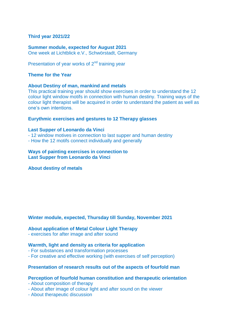#### **Third year 2021/22**

#### **Summer module, expected for August 2021**

One week at Lichtblick e.V., Schwörstadt, Germany

Presentation of year works of  $2<sup>nd</sup>$  training year

#### **Theme for the Year**

#### **About Destiny of man, mankind and metals**

This practical training year should show exercises in order to understand the 12 colour light window motifs in connection with human destiny. Training ways of the colour light therapist will be acquired in order to understand the patient as well as one's own intentions.

#### **Eurythmic exercises and gestures to 12 Therapy glasses**

#### **Last Supper of Leonardo da Vinci**

- 12 window motives in connection to last supper and human destiny
- How the 12 motifs connect individually and generally

#### **Ways of painting exercises in connection to Last Supper from Leonardo da Vinci**

#### **About destiny of metals**

#### **Winter module, expected, Thursday till Sunday, November 2021**

#### **About application of Metal Colour Light Therapy**

- exercises for after image and after sound

#### **Warmth, light and density as criteria for application**

- For substances and transformation processes
- For creative and effective working (with exercises of self perception)

#### **Presentation of research results out of the aspects of fourfold man**

#### **Perception of fourfold human constitution and therapeutic orientation**

- About composition of therapy
- About after image of colour light and after sound on the viewer
- About therapeutic discussion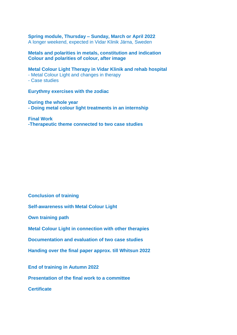**Spring module, Thursday – Sunday, March or April 2022** A longer weekend, expected in Vidar Klinik Järna, Sweden

**Metals and polarities in metals, constitution and indication Colour and polarities of colour, after image**

**Metal Colour Light Therapy in Vidar Klinik and rehab hospital**

- Metal Colour Light and changes in therapy

- Case studies

**Eurythmy exercises with the zodiac**

**During the whole year - Doing metal colour light treatments in an internship** 

**Final Work -Therapeutic theme connected to two case studies** 

**Conclusion of training** 

**Self-awareness with Metal Colour Light**

**Own training path**

**Metal Colour Light in connection with other therapies**

**Documentation and evaluation of two case studies**

**Handing over the final paper approx. till Whitsun 2022**

**End of training in Autumn 2022**

**Presentation of the final work to a committee**

**Certificate**